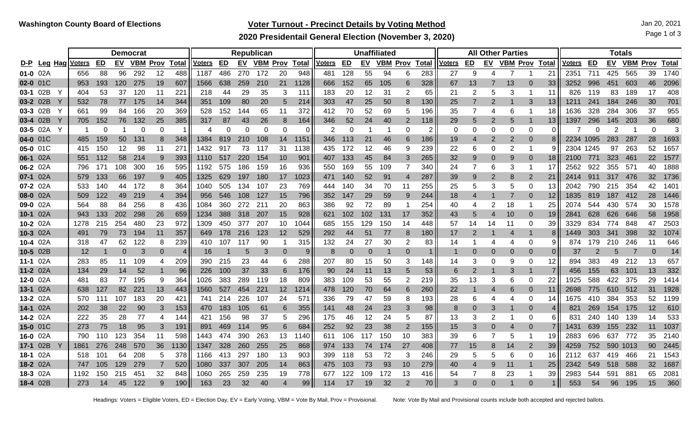## **Voter Turnout - Precinct Details by Voting Method** Jan 20, 2021

Page 1 of 3

**2020 Presidentail General Election (November 3, 2020)**

|                 |             |              |               |                | <b>Democrat</b> |            |      |                |               |     |           | Republican |                |                   |               |          |           | <b>Unaffiliated</b> |      |              |               |                |                | <b>All Other Parties</b> |                |                |           |     | <b>Totals</b> |                 |    |              |
|-----------------|-------------|--------------|---------------|----------------|-----------------|------------|------|----------------|---------------|-----|-----------|------------|----------------|-------------------|---------------|----------|-----------|---------------------|------|--------------|---------------|----------------|----------------|--------------------------|----------------|----------------|-----------|-----|---------------|-----------------|----|--------------|
|                 | D-P Leg Hag |              | <b>Voters</b> | E <sub>D</sub> | <u>EV</u>       | <b>VBM</b> | Prov | <b>Total</b>   | <u>Voters</u> | ED  | <u>EV</u> | <b>VBM</b> |                | <b>Prov Total</b> | <u>Voters</u> | ED       | <b>EV</b> | <b>VBM</b>          | Prov | <b>Total</b> | <u>Voters</u> | ED             | EV             | <b>VBM Prov</b>          |                | <b>Total</b>   | Voters    | ED  | <u>EV</u>     | <b>VBM Prov</b> |    | <b>Total</b> |
| 01-0 02A        |             |              | 656           | 88             | 96              | 292        | 12   | 488            | 1187          | 486 | 270       | 172        | 20             | 948               | 481           | 128      | 55        | 94                  |      | 283          | 27            | 9              | 4              |                          |                | 21             | 2351      | 711 | 425           | 565             | 39 | 1740         |
| 02-0 01C        |             |              | 953           | 193            | 120             | 275        | 19   | 607            | 1566          | 638 | 259       | 210        | 21             | 1128              | 666           | 152      | 65        | 105                 |      | 328          | 67            | 13             | 7              | 13                       |                | 33             | 3252      | 996 | 451           | 603             | 46 | 2096         |
| 03-1 02B        |             |              | 404           | 53             | 37              | 120        | 11   | 221            | 218           | 44  | 29        | 35         | 3              | 111               | 183           | 20       | 12        | 31                  | 2    | 65           | 21            | $\overline{2}$ | 5              | 3                        |                | 11             | 826       | 119 | 83            | 189             | 17 | 408          |
| 03-2 02B        |             |              | 532           | 78             | 77              | 175        | 14   | 344            | 351           | 109 | 80        | 20         | 5              | 214               | 303           | 47       | 25        | 50                  |      | 130          | 25            | 7              | $\overline{2}$ |                          |                | 13             | 1211      | 241 | 184           | 246             | 30 | 701          |
| 03-3 02B        |             |              | 661           | 99             | 84              | 166        | 20   | 369            | 528           | 152 | 144       | 65         | 11             | 372               | 412           | 70       | 52        | 69                  | 5    | 196          | 35            | $\overline{7}$ | 4              | 6                        |                | 18             | 1636      | 328 | 284           | 306             | 37 | 955          |
| 03-4 02B        |             | -Y           | 705           | 152            | 76              | 132        | 25   | 385            | 317           | 87  | 43        | 26         | 8              | 164               | 346           | 52       | 24        | 40                  |      | 118          | 29            | 5              | $\overline{2}$ | 5                        |                | 13             | 1397      | 296 | 145           | 203             | 36 | 680          |
| 03-5 02A        |             | <sup>Y</sup> |               | 0              |                 |            | 0    | -1             |               | 0   | $\Omega$  | $\Omega$   | 0              | 0                 |               | 0        |           |                     |      | 2            | 0             | 0              | $\mathbf 0$    | $\Omega$                 | 0              | $\Omega$       |           |     | 2             |                 | 0  | 3            |
| 04-0 01C        |             |              | 485           | 159            | 50              | 131        | 8    | 348            | 1384          | 819 | 210       | 108        | 14             | 1151              | 346           | 113      | 21        | 46                  |      | 186          | 19            | $\overline{4}$ | 2              | $\overline{2}$           | 0              |                | 2234 1095 |     | 283           | 287             | 28 | 1693         |
| 05-0 01C        |             |              | 415           | 150            | 12              | 98         | 11   | 271            | 1432          | 917 | 73        | 117        | 31             | 1138              | 435           | 172      | 12        | 46                  |      | 239          | 22            | 6              | 0              | $\overline{2}$           |                | 9              | 2304 1245 |     | 97            | 263             | 52 | 1657         |
| 06-1 02A        |             |              | 551           | 112            | 58              | 214        | 9    | 393            | 1110          | 517 | 220       | 154        | 10             | 901               | 407           | 133      | 45        | 84                  |      | 265          | 32            | 9              | $\mathbf 0$    | 9                        | $\Omega$       | 18             | 2100      | 771 | 323           | 461             | 22 | 1577         |
| 06-2 02A        |             |              | 796           | 171            | 108             | 300        | 16   | 595            | 1192          | 575 | 186       | 159        | 16             | 936               | 550           | 169      | 55        | 109                 |      | 340          | 24            | 7              | 6              | 3                        |                | 17             | 2562      | 922 | 355           | 571             | 40 | 1888         |
| 07-1 02A        |             |              | 579           | 133            | 66              | 197        | 9    | 405            | 1325          | 629 | 197       | 180        | 17             | 1023              | 471           | 140      | 52        | 91                  |      | 287          | 39            | 9              | $\overline{2}$ | 8                        |                | 21             | 2414      | 911 | 317           | 476             | 32 | 1736         |
| 07-2 02A        |             |              | 533           | 140            | 44              | 172        | 8    | 364            | 1040          | 505 | 134       | 107        | 23             | 769               | 444           | 140      | 34        | 70                  | 11   | 255          | 25            | 5              | 3              | 5                        | 0              | 13             | 2042      | 790 | 215           | 354             | 42 | 1401         |
| 08-0 02A        |             |              | 509           | 122            | 49              | 219        | 4    | 394            | 956           | 546 | 108       | 127        | 15             | 796               | 352           | 147      | 29        | 59                  | 9    | 244          | 18            |                |                |                          | $\overline{0}$ | 12             | 1835      | 819 | 187           | 412             | 28 | 1446         |
| 09-0 02A        |             |              | 564           | 88             | 84              | 256        | 8    | 436            | 1084          | 360 | 272       | 211        | 20             | 863               | 386           | 92       | 72        | 89                  |      | 254          | 40            | 4              | 2              | 18                       |                | 25             | 2074      | 544 | 430           | 574             | 30 | 1578         |
| 10-1 02A        |             |              | 943           | 133            | 202             | 298        | 26   | 659            | 1234          | 388 | 318       | 207        | 15             | 928               | 621           | 102      | 102       | 131                 | 17   | 352          | 43            | 5              | 4              | 10                       | $\Omega$       | 19             | 2841      | 628 | 626           | 646             | 58 | 1958         |
| 10-2 02A        |             |              | 1278          | 215            | 254             | 480        | 23   | 972            | 1309          | 450 | 377       | 207        | 10             | 1044              | 685           | 155      | 129       | 150                 | 14   | 448          | 57            | 14             | 14             | 11                       | $\Omega$       | 39             | 3329      | 834 | 774           | 848             | 47 | 2503         |
| 10-3 02A        |             |              | 491           | 79             | 73              | 194        | 11   | 357            | 649           | 178 | 216       | 123        | 12             | 529               | 292           | 44       | 51        | 77                  |      | 180          | 17            | $\overline{2}$ |                | $\overline{4}$           |                | 8              | 1449      | 303 | 341           | 398             | 32 | 1074         |
| 10-4 02A        |             |              | 318           | 47             | 62              | 122        | 8    | 239            | 410           | 107 | 117       | 90         |                | 315               | 132           | 24       | 27        | 30                  |      | 83           | 14            |                | 4              | 4                        | 0              | 9              | 874       | 179 | 210           | 246             | 11 | 646          |
| 10-5 02B        |             |              | 12            |                | 0               |            | 0    | $\overline{4}$ | 16            |     | 5         |            | $\overline{0}$ | 9                 |               | $\Omega$ | $\Omega$  |                     |      | 11           |               | $\Omega$       | 0              | $\Omega$                 | $\Omega$       | $\overline{0}$ | 37        |     | 5             |                 |    | 14           |
| 11-1 02A        |             |              | 283           | 85             | 11              | 109        | 4    | 209            | 390           | 215 | 23        | 44         | 6              | 288               | 207           | 80       | 15        | 50                  | 3    | 148          | 14            | 3              | $\mathbf 0$    | -9                       | 0              | 12             | 894       | 383 | 49            | 212             | 13 | 657          |
| 11-2 02A        |             |              | 134           | 29             | 14              | 52         |      | 96             | 226           | 100 | 37        | 33         |                | 176               | 90            | 24       | 11        | 13                  |      | 53           | 6             | $\overline{2}$ |                | 3                        |                | $\overline{7}$ | 456       | 155 | 63            | 101             | 13 | 332          |
| 12-0 02A        |             |              | 481           | 83             | 77              | 195        | 9    | 364            | 1026          | 383 | 289       | 119        | 18             | 809               | 383           | 109      | 53        | 55                  |      | 219          | 35            | 13             | 3              | 6                        | 0              | 22             | 1925      | 588 | 422           | 375             | 29 | 1414         |
| 13-1 02A        |             |              | 638           | 127            | 82              | 221        | 13   | 443            | 1560          | 527 | 454       | 221        | 12             | 1214              | 478           | 120      | 70        | 64                  |      | 260          | 22            |                | 4              | 6                        |                | 11             | 2698      | 775 | 610           | 512             | 31 | 1928         |
| 13-2 02A        |             |              | 570           | 111            | 107             | 183        | 20   | 421            | 741           | 214 | 226       | 107        | 24             | 571               | 336           | 79       | 47        | 59                  | 8    | 193          | 28            | 6              | 4              |                          | 0              | 14             | 1675      | 410 | 384           | 353             | 52 | 1199         |
| 14-1 02A        |             |              | 202           | 38             | 22              | 90         | 3    | 153            | 470           | 183 | 105       | -61        |                | 355               | 141           | 48       | 24        | 23                  |      | 98           | 8             | 0              | 3              |                          |                | 4              | 821       | 269 | 154           | 175             | 12 | 610          |
| <b>14-2 02A</b> |             |              | 222           | 35             | 28              | 77         |      | 144            | 421           | 156 | 98        | 37         | 5              | 296               | 175           | 46       | 12        | 24                  | 5    | 87           | 13            | 3              | 2              |                          | $\Omega$       | 6              | 831       | 240 | 140           | 139             | 14 | 533          |
| <b>15-0 01C</b> |             |              | 273           | 75             | 18              | 95         | 3    | 191            | 891           | 469 | 114       | 95         |                | 684               | 252           | 92       | 23        | 38                  |      | 155          | 15            | 3              | 0              | $\overline{4}$           | 0              |                | 1431      | 639 | 155           | 232             | 11 | 1037         |
| 16-0 02A        |             |              | 790           | 110            | 123             | 354        | 11   | 598            | 1443          | 474 | 390       | 263        | 13             | 1140              | 611           | 106      | 117       | 150                 | 10   | 383          | 39            | 6              | 7              | 5                        |                | 19             | 2883      | 696 | 637           | 772             | 35 | 2140         |
| 17-1 02B        |             | -Y           | 1861          | 276            | 248             | 570        | 36   | 1130           | 1347          | 328 | 260       | 255        | 25             | 868               | 974           | 133      | 74        | 174                 | 27   | 408          | 77            | 15             | 8              | 14                       | 2              | 39             | 4259      | 752 | 590           | 1013            | 90 | 2445         |
| 18-1 02A        |             |              | 518           | 101            | 64              | 208        | 5    | 378            | 1166          | 413 | 297       | 180        | 13             | 903               | 399           | 118      | 53        | 72                  | 3    | 246          | 29            | 5              | 5              | 6                        | $\Omega$       | 16             | 2112      | 637 | 419           | 466             | 21 | 1543         |
| 18-2 02A        |             |              | 747           | 105            | 129             | 279        |      | 520            | 1080          | 337 | 307       | 205        | 14             | 863               | 475           | 103      | 73        | 93                  | 10   | 279          | 40            | 4              | 9              | 11                       |                | 25             | 2342      | 549 | 518           | 588             | 32 | 1687         |
| <b>18-3</b> 02A |             |              | 1192          | 150            | 215             | 451        | 32   | 848            | 1060          | 265 | 259       | 235        | 19             | 778               | 677           | 122      | 109       | 172                 | 13   | 416          | 54            |                | 8              | 23                       |                | 39             | 2983      | 544 | 591           | 881             | 65 | 2081         |
| 18-4 02B        |             |              | 273           | 14             | 45              | 122        | g    | 190            | 163           | 23  | 32        | 40         |                | 99                | 114           | 17       | 19        | 32                  |      | 70           |               |                | $\Omega$       |                          |                |                | 553       | 54  | 96            | 195             | 15 | 360          |

Headings: Voters = Eligible Voters, ED = Election Day, EV = Early Voting, VBM = Vote By Mail, Prov = Provisional. Note: Vote By Mail and Provisional counts include both accepted and rejected ballots.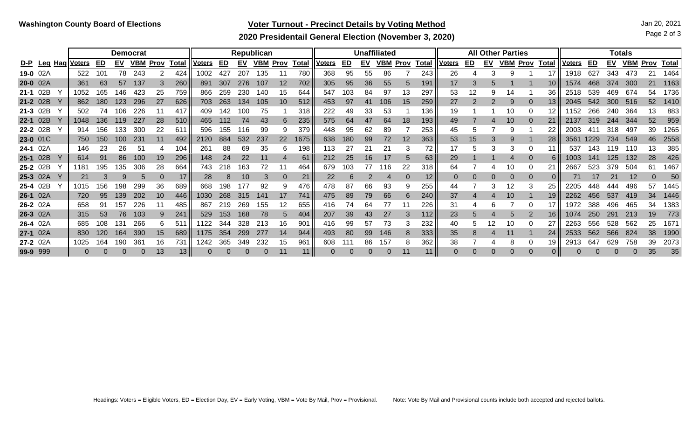## **Voter Turnout - Precinct Details by Voting Method Jan 20, 2021** Jan 20, 2021

Page 2 of 3

## **2020 Presidentail General Election (November 3, 2020)**

|            |                   |     | <b>Democrat</b> |                 |             |              |               |     |           | Republican |               |              | <b>Unaffiliated</b> |     |           |            |             |                 |               | <b>All Other Parties</b> |           |            |             |              |               |      | <b>Totals</b> |            |             |       |  |  |  |  |
|------------|-------------------|-----|-----------------|-----------------|-------------|--------------|---------------|-----|-----------|------------|---------------|--------------|---------------------|-----|-----------|------------|-------------|-----------------|---------------|--------------------------|-----------|------------|-------------|--------------|---------------|------|---------------|------------|-------------|-------|--|--|--|--|
| $D-P$ Leg  | <b>Hag Voters</b> | ED  | <u>EV</u>       | <b>VBM</b>      | <b>Prov</b> | <b>Total</b> | <b>Voters</b> | ED  | <u>EV</u> | <b>VBM</b> | . <u>Prov</u> | <b>Total</b> | <u>Voters</u>       | ED  | <b>EV</b> | <u>VBM</u> | <b>Prov</b> | <b>Total</b>    | <b>Voters</b> | ED                       | <u>EV</u> | <b>VBM</b> | <b>Prov</b> | <b>Total</b> | <u>Voters</u> | ED   | <u>EV</u>     | <b>VBM</b> | <b>Prov</b> | Total |  |  |  |  |
| 19-0 02A   | 522               | 101 | 78              | 243             |             | 424          | 1002          | 427 | 207       | 135        |               | 780          | 368                 | 95  | 55        | 86         |             | 243             | 26            |                          |           |            |             |              | 1918          | 627  | 343           | 473        |             | 1464  |  |  |  |  |
| 20-0 02A   | 361               | 63  | 57              | 137             | 3           | 260          | 891           | 307 | 276       | 107        | 12            | 702          | 305                 | 95  | 36        | 55         |             | 191             | 17            |                          | 5         |            |             | 10           | 1574          | 468  | 374           | 300        | 21          | 1163  |  |  |  |  |
| $21-1$ 02B | 052               | 165 | 146             | 423             | 25          | 759          | 866           | 259 | 230       | 140        | 15            | 644          | 547                 | 103 | 84        | 97         | 13          | 297             | 53            |                          |           | 14         |             | 36           | 2518          | 539  | 469           | 674        | 54          | 1736  |  |  |  |  |
| 21-2 02B   | 862               | 180 | 123             | 296             |             | 626          | 703           | 263 | 134       | 105        | 10            | 512          | 453                 | 97  | 41        | 106        | 15          | 259             | 27            |                          |           |            |             | 13.          | 2045          | 542  | 300           | 516        | 52          | 1410  |  |  |  |  |
| 21-3 02B   | 502               | 74  | 106             | 226             |             | 417          | 409           | 142 | 100       |            |               | 318          | 222                 | 49  | 33        | 53         |             | 136             |               |                          |           | 10         |             |              | 1152          | 266  | 240           | 364        | 13          | 883   |  |  |  |  |
| 22-1 02B   | 1048              | 136 | 119             | 227             | 28          | 510          | 465           | 12  | 74        | 43         | 6             | 235          | 575                 | 64  | 47        | 64         | 18          | 193             | 49            |                          | 4         | 10         |             | 21           | 2137          | 319  | 244           | 344        | 52          | 959   |  |  |  |  |
| 22-2 02B   | 914               | 156 | 33              | 30C             |             | 611          | 596           | 55  |           | 99         |               | 379          | 448                 | 95  | 62        | 89         |             | 253             | 45            |                          |           | 9          |             |              | 2003          |      | 318           | 497        | 39          | 1265  |  |  |  |  |
| 23-0 01C   | 750               | 150 | 10 <sub>C</sub> | 23٬             |             | 492          | 2120          | 884 | 532       | 237        |               | 1675         | 638                 | 180 | 99        | 72         | 12          | 363             | 53            | 15                       | 3         | 9          |             | 28           | 3561          | 1229 | 734           | 549        | 46          | 2558  |  |  |  |  |
| 24-1 02A   | 146               | 23  | 26              | 51              |             | 104          | 26٬           | 88  | 69        | 35         | 6             | 198          | 13                  | 27  |           | 21         |             | 72              |               |                          | 3         | 3          | -0          |              | 537           | 143  | 19            | .10        | 13          | 385   |  |  |  |  |
| 25-1 02B   | 614               | 91  | 86              | 100             | 19          | 296          | 148           | 24  | 22        |            |               | 61           | 212                 | 25  | 16        |            |             | 63              | 29            |                          |           |            |             | 61           | 1003          | 141  | 125           | 132        | 28          | 426   |  |  |  |  |
| 25-2 02B   | 181               | 195 | 35              | 306             | 28          | 664          | 743           | 218 | 163       |            |               | 464          | 679                 | 103 |           | 16         | 22          | 318             | 64            |                          |           | 10         |             | 21           | 2667          | 523  | 379           | 504        | 61          | 1467  |  |  |  |  |
| 25-3 02A   | 21                |     |                 | 5               | $\Omega$    | 17           | 28            |     | 10        |            | 0             | 21           | 22                  | 6   |           |            |             | 12              |               |                          | 0         | $\Omega$   | 0           | $\Omega$     |               | 17   | 21            | 12         | $\Omega$    | 50    |  |  |  |  |
| 25-4 02B   | 1015              | 156 | 198             | 299             | 36          | 689          | 668           | 98  |           | 92         |               | 476          |                     | 87  | 66        | 93         |             | 255             |               |                          | 3         | 12         |             | 25.          | 2205          |      |               | 496        | 57          | 1445  |  |  |  |  |
| 26-1 02A   | 720               | 95  | 139             | 202             | 10          | 446          | 1030          | 268 | 315       | 141        |               | 741          | 475                 | 89  | 79        | 66         |             | 240             | 37            |                          |           | 10         |             | 19           | 2262          | 456  | 537           | 419        | 34          | 1446  |  |  |  |  |
| 26-2 02A   | 658               | 91  | 157             | 226             |             | 485          | 867           | 219 | 269       | 155        | 12            | 655          | 416                 | 74  | 64        | 77         |             | 226             | 31            |                          | 6         |            |             |              | 1972          | 388  | 496           | 465        | 34          | 1383  |  |  |  |  |
| 26-3 02A   | 315               | 53  | 76              | 103             | 9           | 241          | 529           | 153 | 168       |            | 5             | 404          | 207                 | 39  | 43        | 27         |             | 112             | 23            |                          |           |            |             | 16 I         | 1074          | 250  | 291           |            | 19          | 773   |  |  |  |  |
| 26-4 02A   | 685               | 108 | 3               | 266             |             | 511          | 22            | 344 | 328       | 213        | 16            | 901          | 416                 | 99  | 57        | 73         |             | 232             | 40            |                          |           | 10         |             |              | 2263          | 556  | 528           | 562        | 25          | 1671  |  |  |  |  |
| 27-1 02A   | 830               | 120 | $-164$          | 390             | 15          | 689          | 1175          | 354 | 299       | 277        | 14            | 944          | 493                 | 80  | 99        | 146        |             | 333             | 35            |                          |           | 11         |             | 24           | 2533          | 562  | 566           | 824        | 38          | 1990  |  |  |  |  |
| 27-2 02A   | 1025              | 164 | 190             | 36 <sup>.</sup> | 16          | 731          | 242           | 365 | 349       | 232        | 15            | 961          | 608                 | 11  | 86        | 157        |             | 362             | 38            |                          |           |            |             | 19           | 2913          | 647  | 629           | 758        | 39          | 2073  |  |  |  |  |
| 99-9 999   |                   |     |                 |                 | 13          | 13           |               |     |           |            |               | 11           |                     |     |           |            | 11          | 11 <sup>1</sup> |               |                          |           | $\Omega$   |             |              |               |      |               |            | 35          | 35    |  |  |  |  |